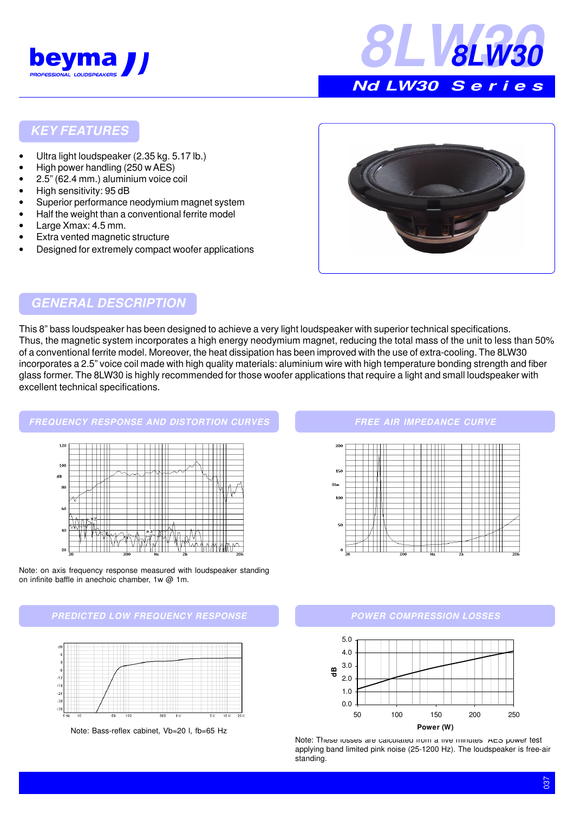



## **KEY FEATURES**

- Ultra light loudspeaker (2.35 kg. 5.17 lb.)
- High power handling (250 w AES)
- 2.5" (62.4 mm.) aluminium voice coil
- High sensitivity: 95 dB
- Superior performance neodymium magnet system
- Half the weight than a conventional ferrite model
- Large Xmax: 4.5 mm.

 $\frac{1}{20}$ 

- Extra vented magnetic structure
- Designed for extremely compact woofer applications



## **GENERAL DESCRIPTION**

This 8" bass loudspeaker has been designed to achieve a very light loudspeaker with superior technical specifications. Thus, the magnetic system incorporates a high energy neodymium magnet, reducing the total mass of the unit to less than 50% of a conventional ferrite model. Moreover, the heat dissipation has been improved with the use of extra-cooling. The 8LW30 incorporates a 2.5" voice coil made with high quality materials: aluminium wire with high temperature bonding strength and fiber glass former. The 8LW30 is highly recommended for those woofer applications that require a light and small loudspeaker with excellent technical specifications.



Note: on axis frequency response measured with loudspeaker standing on infinite baffle in anechoic chamber, 1w @ 1m.

**PREDICTED LOW FREQUENCY RESPONSE**



Note: Bass-reflex cabinet, Vb=20 l, fb=65 Hz

#### **FREE AIR IMPEDANCE CURVE**



#### **POWER COMPRESSION LOSSES**



Note: These losses are calculated from a five minutes AES power test applying band limited pink noise (25-1200 Hz). The loudspeaker is free-air standing.